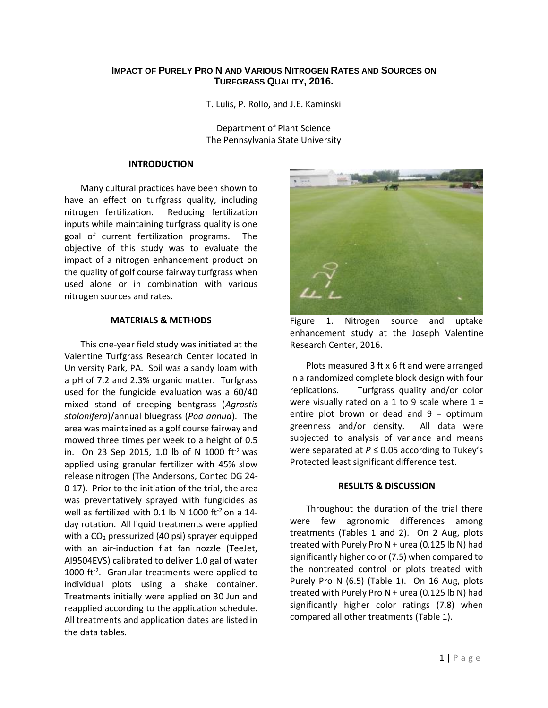# **IMPACT OF PURELY PRO N AND VARIOUS NITROGEN RATES AND SOURCES ON TURFGRASS QUALITY, 2016.**

T. Lulis, P. Rollo, and J.E. Kaminski

Department of Plant Science The Pennsylvania State University

### **INTRODUCTION**

Many cultural practices have been shown to have an effect on turfgrass quality, including nitrogen fertilization. Reducing fertilization inputs while maintaining turfgrass quality is one goal of current fertilization programs. The objective of this study was to evaluate the impact of a nitrogen enhancement product on the quality of golf course fairway turfgrass when used alone or in combination with various nitrogen sources and rates.

## **MATERIALS & METHODS**

This one-year field study was initiated at the Valentine Turfgrass Research Center located in University Park, PA. Soil was a sandy loam with a pH of 7.2 and 2.3% organic matter. Turfgrass used for the fungicide evaluation was a 60/40 mixed stand of creeping bentgrass (*Agrostis stolonifera*)/annual bluegrass (*Poa annua*). The area was maintained as a golf course fairway and mowed three times per week to a height of 0.5 in. On 23 Sep 2015, 1.0 lb of N 1000 ft-2 was applied using granular fertilizer with 45% slow release nitrogen (The Andersons, Contec DG 24- 0-17). Prior to the initiation of the trial, the area was preventatively sprayed with fungicides as well as fertilized with 0.1 lb N 1000 ft<sup>-2</sup> on a 14day rotation. All liquid treatments were applied with a  $CO<sub>2</sub>$  pressurized (40 psi) sprayer equipped with an air-induction flat fan nozzle (TeeJet, AI9504EVS) calibrated to deliver 1.0 gal of water 1000 ft<sup>-2</sup>. Granular treatments were applied to individual plots using a shake container. Treatments initially were applied on 30 Jun and reapplied according to the application schedule. All treatments and application dates are listed in the data tables.



Figure 1. Nitrogen source and uptake enhancement study at the Joseph Valentine Research Center, 2016.

Plots measured 3 ft x 6 ft and were arranged in a randomized complete block design with four replications. Turfgrass quality and/or color were visually rated on a 1 to 9 scale where  $1 =$ entire plot brown or dead and  $9 =$  optimum greenness and/or density. All data were subjected to analysis of variance and means were separated at *P* ≤ 0.05 according to Tukey's Protected least significant difference test.

# **RESULTS & DISCUSSION**

Throughout the duration of the trial there were few agronomic differences among treatments (Tables 1 and 2). On 2 Aug, plots treated with Purely Pro  $N +$ urea (0.125 lb N) had significantly higher color (7.5) when compared to the nontreated control or plots treated with Purely Pro N (6.5) (Table 1). On 16 Aug, plots treated with Purely Pro N + urea (0.125 lb N) had significantly higher color ratings (7.8) when compared all other treatments (Table 1).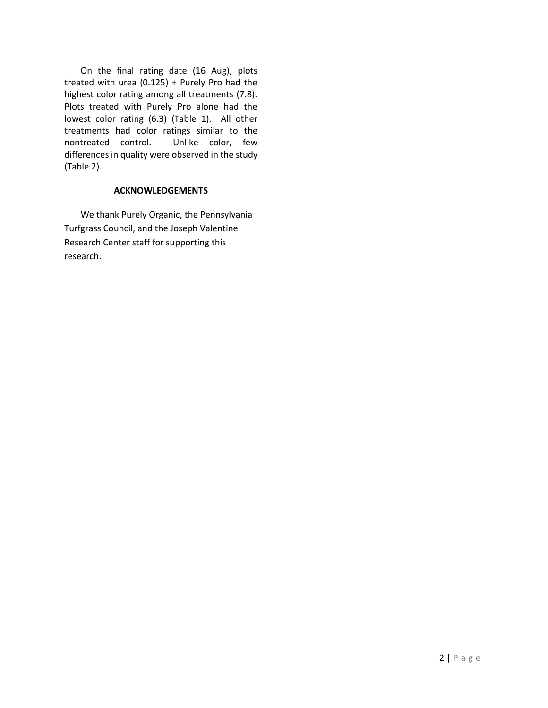On the final rating date (16 Aug), plots treated with urea (0.125) + Purely Pro had the highest color rating among all treatments (7.8). Plots treated with Purely Pro alone had the lowest color rating (6.3) (Table 1). All other treatments had color ratings similar to the nontreated control. Unlike color, few differences in quality were observed in the study (Table 2).

# **ACKNOWLEDGEMENTS**

We thank Purely Organic, the Pennsylvania Turfgrass Council, and the Joseph Valentine Research Center staff for supporting this research.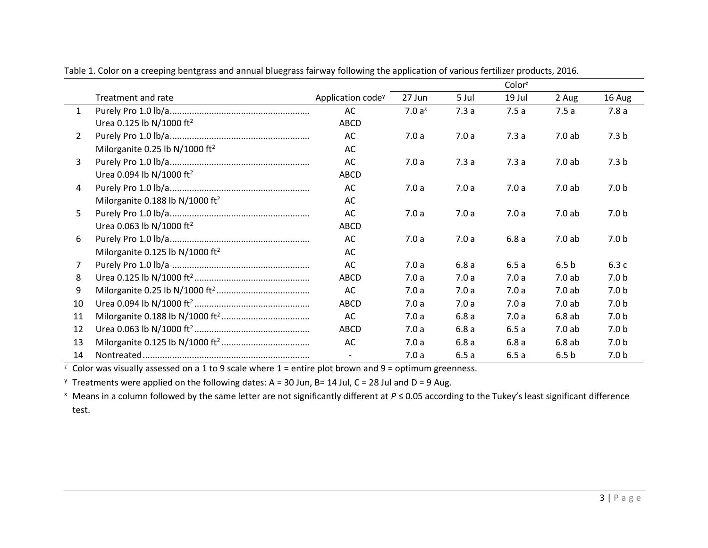|                |                                             |                               |                   |       | Color <sup>2</sup> |                  |                  |
|----------------|---------------------------------------------|-------------------------------|-------------------|-------|--------------------|------------------|------------------|
|                | Treatment and rate                          | Application code <sup>y</sup> | 27 Jun            | 5 Jul | 19 Jul             | 2 Aug            | 16 Aug           |
| $\mathbf{1}$   |                                             | AC                            | 7.0a <sup>x</sup> | 7.3a  | 7.5a               | 7.5a             | 7.8a             |
|                | Urea 0.125 lb N/1000 ft <sup>2</sup>        | ABCD                          |                   |       |                    |                  |                  |
| $\overline{2}$ |                                             | AC                            | 7.0a              | 7.0a  | 7.3a               | 7.0 ab           | 7.3 <sub>b</sub> |
|                | Milorganite 0.25 lb N/1000 ft <sup>2</sup>  | AC                            |                   |       |                    |                  |                  |
| $\mathbf{3}$   |                                             | AC                            | 7.0a              | 7.3a  | 7.3a               | 7.0ab            | 7.3 <sub>b</sub> |
|                | Urea 0.094 lb N/1000 ft <sup>2</sup>        | ABCD                          |                   |       |                    |                  |                  |
| 4              |                                             | AC                            | 7.0a              | 7.0a  | 7.0a               | 7.0ab            | 7.0 <sub>b</sub> |
|                | Milorganite 0.188 lb N/1000 ft <sup>2</sup> | AC                            |                   |       |                    |                  |                  |
| 5              |                                             | AC                            | 7.0a              | 7.0a  | 7.0a               | 7.0ab            | 7.0 <sub>b</sub> |
|                | Urea 0.063 lb N/1000 ft <sup>2</sup>        | ABCD                          |                   |       |                    |                  |                  |
| 6              |                                             | AC                            | 7.0a              | 7.0a  | 6.8a               | 7.0ab            | 7.0 <sub>b</sub> |
|                | Milorganite 0.125 lb N/1000 ft <sup>2</sup> | AC                            |                   |       |                    |                  |                  |
| $\overline{7}$ |                                             | AC                            | 7.0a              | 6.8a  | 6.5a               | 6.5 <sub>b</sub> | 6.3c             |
| 8              |                                             | <b>ABCD</b>                   | 7.0a              | 7.0a  | 7.0a               | 7.0ab            | 7.0 <sub>b</sub> |
| 9              |                                             | AC                            | 7.0a              | 7.0a  | 7.0a               | 7.0ab            | 7.0 <sub>b</sub> |
| 10             |                                             | ABCD                          | 7.0a              | 7.0a  | 7.0a               | 7.0ab            | 7.0 <sub>b</sub> |
| 11             |                                             | AC                            | 7.0a              | 6.8a  | 7.0a               | 6.8ab            | 7.0 <sub>b</sub> |
| 12             |                                             | ABCD                          | 7.0a              | 6.8a  | 6.5a               | 7.0ab            | 7.0 <sub>b</sub> |
| 13             |                                             | AC                            | 7.0a              | 6.8a  | 6.8a               | 6.8ab            | 7.0 <sub>b</sub> |
| 14             |                                             |                               | 7.0a              | 6.5a  | 6.5a               | 6.5 <sub>b</sub> | 7.0 <sub>b</sub> |

Table 1. Color on a creeping bentgrass and annual bluegrass fairway following the application of various fertilizer products, 2016.

 $\frac{1}{2}$  Color was visually assessed on a 1 to 9 scale where 1 = entire plot brown and 9 = optimum greenness.

 $\gamma$  Treatments were applied on the following dates: A = 30 Jun, B= 14 Jul, C = 28 Jul and D = 9 Aug.

<sup>x</sup> Means in a column followed by the same letter are not significantly different at *P* ≤ 0.05 according to the Tukey's least significant difference test.